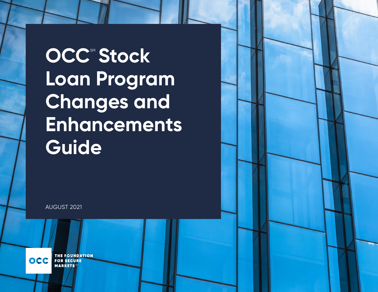$OCC^{\text{SM}}$  Stock **Loan Program Changes and Enhancements Guide** 

AUGUST 2021

**THE FOUNDATION OCC FOR SECURE MARKETS**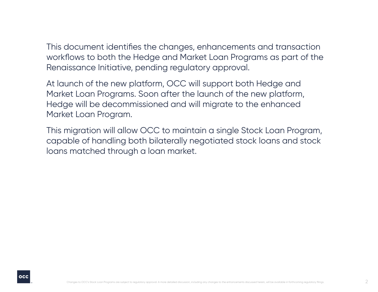This document identifies the changes, enhancements and transaction workflows to both the Hedge and Market Loan Programs as part of the Renaissance Initiative, pending regulatory approval.

At launch of the new platform, OCC will support both Hedge and Market Loan Programs. Soon after the launch of the new platform, Hedge will be decommissioned and will migrate to the enhanced Market Loan Program.

This migration will allow OCC to maintain a single Stock Loan Program, capable of handling both bilaterally negotiated stock loans and stock loans matched through a loan market.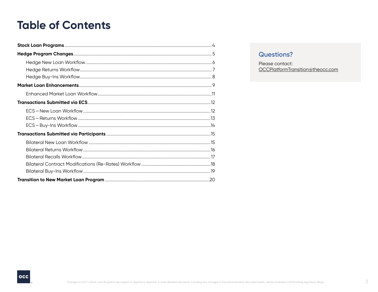# <span id="page-2-0"></span>**Table of Contents**

## **Questions?**

Please contact: OCCPlatformTransition@theocc.com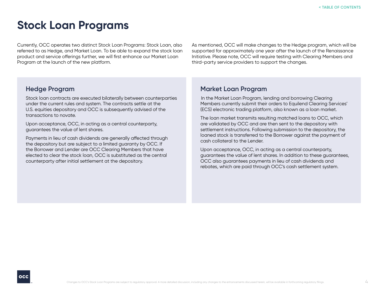# <span id="page-3-0"></span>**Stock Loan Programs**

Currently, OCC operates two distinct Stock Loan Programs: Stock Loan, also referred to as Hedge, and Market Loan. To be able to expand the stock loan product and service offerings further, we will first enhance our Market Loan Program at the launch of the new platform.

As mentioned, OCC will make changes to the Hedge program, which will be supported for approximately one year after the launch of the Renaissance Initiative. Please note, OCC will require testing with Clearing Members and third-party service providers to support the changes.

#### **Hedge Program**

Stock loan contracts are executed bilaterally between counterparties under the current rules and system. The contracts settle at the U.S. equities depository and OCC is subsequently advised of the transactions to novate.

Upon acceptance, OCC, in acting as a central counterparty, guarantees the value of lent shares.

Payments in lieu of cash dividends are generally affected through the depository but are subject to a limited guaranty by OCC. If the Borrower and Lender are OCC Clearing Members that have elected to clear the stock loan, OCC is substituted as the central counterparty after initial settlement at the depository.

#### **Market Loan Program**

In the Market Loan Program, lending and borrowing Clearing Members currently submit their orders to Equilend Clearing Services' (ECS) electronic trading platform, also known as a loan market.

The loan market transmits resulting matched loans to OCC, which are validated by OCC and are then sent to the depository with settlement instructions. Following submission to the depository, the loaned stock is transferred to the Borrower against the payment of cash collateral to the Lender.

Upon acceptance, OCC, in acting as a central counterparty, guarantees the value of lent shares. In addition to these guarantees, OCC also guarantees payments in lieu of cash dividends and rebates, which are paid through OCC's cash settlement system.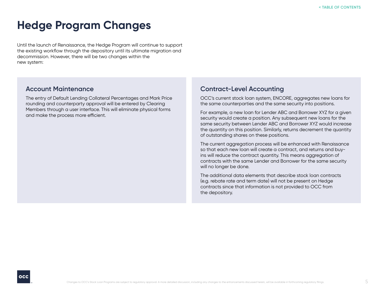# <span id="page-4-0"></span>**Hedge Program Changes**

Until the launch of Renaissance, the Hedge Program will continue to support the existing workflow through the depository until its ultimate migration and decommission. However, there will be two changes within the new system:

#### **Account Maintenance**

The entry of Default Lending Collateral Percentages and Mark Price rounding and counterparty approval will be entered by Clearing Members through a user interface. This will eliminate physical forms and make the process more efficient.

# **Contract-Level Accounting**

OCC's current stock loan system, ENCORE, aggregates new loans for the same counterparties and the same security into positions.

For example, a new loan for Lender ABC and Borrower XYZ for a given security would create a position. Any subsequent new loans for the same security between Lender ABC and Borrower XYZ would increase the quantity on this position. Similarly, returns decrement the quantity of outstanding shares on these positions.

The current aggregation process will be enhanced with Renaissance so that each new loan will create a contract, and returns and buyins will reduce the contract quantity. This means aggregation of contracts with the same Lender and Borrower for the same security will no longer be done.

The additional data elements that describe stock loan contracts (e.g. rebate rate and term date) will not be present on Hedge contracts since that information is not provided to OCC from the depository.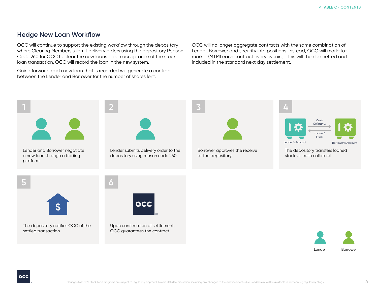### <span id="page-5-0"></span>**Hedge New Loan Workflow**

OCC will continue to support the existing workflow through the depository where Clearing Members submit delivery orders using the depository Reason Code 260 for OCC to clear the new loans. Upon acceptance of the stock loan transaction, OCC will record the loan in the new system.

Going forward, each new loan that is recorded will generate a contract between the Lender and Borrower for the number of shares lent.

OCC will no longer aggregate contracts with the same combination of Lender, Borrower and security into positions. Instead, OCC will mark-tomarket (MTM) each contract every evening. This will then be netted and included in the standard next day settlement.



The depository notifies OCC of the settled transaction

occ the existing

Upon confirmation of settlement, OCC guarantees the contract.

Lender Borrower

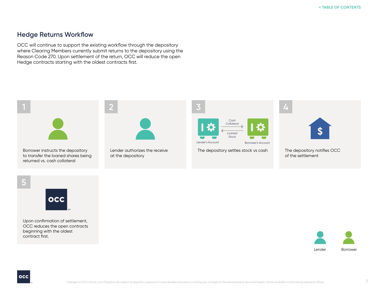#### <span id="page-6-0"></span>**Hedge Returns Workflow**

OCC will continue to support the existing workflow through the depository where Clearing Members currently submit returns to the depository using the Reason Code 270. Upon settlement of the return, OCC will reduce the open Hedge contracts starting with the oldest contracts first.



Borrower instructs the depository to transfer the loaned shares being returned vs. cash collateral



Lender authorizes the receive at the depository



The depository settles stock vs cash



**4**

The depository notifies OCC of the settlement





Upon confirmation of settlement, OCC reduces the open contracts beginning with the oldest contract first.



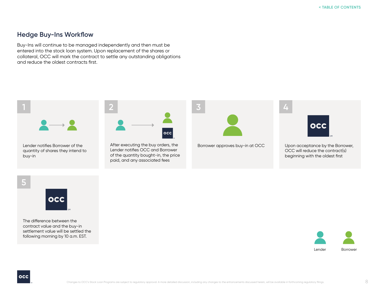#### **Hedge Buy-Ins Workflow**

Buy-Ins will continue to be managed independently and then must be entered into the stock loan system. Upon replacement of the shares or collateral, OCC will mark the contract to settle any outstanding obligations and reduce the oldest contracts first.







The difference between the contract value and the buy-in settlement value will be settled the following morning by 10 a.m. EST.

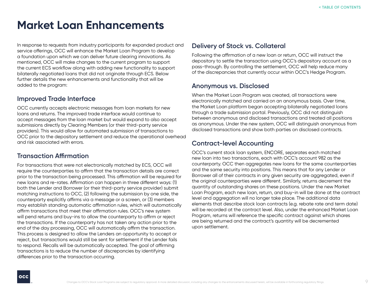# <span id="page-8-0"></span>**Market Loan Enhancements**

In response to requests from industry participants for expanded product and service offerings, OCC will enhance the Market Loan Program to develop a foundation upon which we can deliver future clearing innovations. As mentioned, OCC will make changes to the current program to support the current ECS workflow along with adding new functionality to support bilaterally negotiated loans that did not originate through ECS. Below further details the new enhancements and functionality that will be added to the program:

# **Improved Trade Interface**

OCC currently accepts electronic messages from loan markets for new loans and returns. The improved trade interface would continue to accept messages from the loan market but would expand to also accept submissions directly by Clearing Members (or their third-party service providers). This would allow for automated submission of transactions to OCC prior to the depository settlement and reduce the operational overhead and risk associated with errors.

# **Transaction Affirmation**

For transactions that were not electronically matched by ECS, OCC will require the counterparties to affirm that the transaction details are correct prior to the transaction being processed. This affirmation will be required for new loans and re-rates. Affirmation can happen in three different ways: (1) both the Lender and Borrower (or their third-party service provider) submit matching instructions to OCC, (2) following the submission by one side, the counterparty explicitly affirms via a message or a screen, or (3) members may establish standing automatic affirmation rules, which will automatically affirm transactions that meet their affirmation rules. OCC's new system will pend returns and buy-ins to allow the counterparty to affirm or reject the transactions. If the counterparty has not taken any action prior to the end of the day processing, OCC will automatically affirm the transaction. This process is designed to allow the Lenders an opportunity to accept or reject, but transactions would still be sent for settlement if the Lender fails to respond. Recalls will be automatically accepted. The goal of affirming transactions is to reduce the number of discrepancies by identifying differences prior to the transaction occurring.

## **Delivery of Stock vs. Collateral**

Following the affirmation of a new loan or return, OCC will instruct the depository to settle the transaction using OCC's depository account as a pass-through. By controlling the settlement, OCC will help reduce many of the discrepancies that currently occur within OCC's Hedge Program.

# **Anonymous vs. Disclosed**

When the Market Loan Program was created, all transactions were electronically matched and carried on an anonymous basis. Over time, the Market Loan platform began accepting bilaterally negotiated loans through a trade submission portal. Previously, OCC did not distinguish between anonymous and disclosed transactions and treated all positions as anonymous. Under the new system, OCC will distinguish anonymous from disclosed transactions and show both parties on disclosed contracts.

# **Contract-level Accounting**

OCC's current stock loan system, ENCORE, separates each matched new loan into two transactions, each with OCC's account 982 as the counterparty. OCC then aggregates new loans for the same counterparties and the same security into positions. This means that for any Lender or Borrower all of their contracts in any given security are aggregated, even if the original counterparties were different. Similarly, returns decrement the quantity of outstanding shares on these positions. Under the new Market Loan Program, each new loan, return, and buy-in will be done at the contract level and aggregation will no longer take place. The additional data elements that describe stock loan contracts (e.g. rebate rate and term date) will be recorded at the contract level. Also, under the enhanced Market Loan Program, returns will reference the specific contract against which shares are being returned and the contract's quantity will be decremented upon settlement.

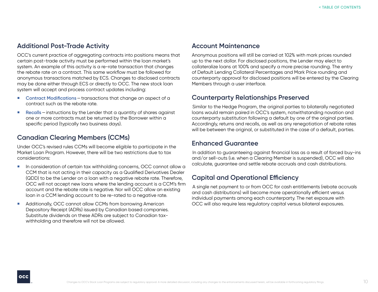#### **Additional Post-Trade Activity**

OCC's current practice of aggregating contracts into positions means that certain post-trade activity must be performed within the loan market's system. An example of this activity is a re-rate transaction that changes the rebate rate on a contract. This same workflow must be followed for anonymous transactions matched by ECS. Changes to disclosed contracts may be done either through ECS or directly to OCC. The new stock loan system will accept and process contract updates including:

- Contract Modifications transactions that change an aspect of a contract such as the rebate rate.
- **Recalls** instructions by the Lender that a quantity of shares against one or more contracts must be returned by the Borrower within a specific period (typically two business days).

# **Canadian Clearing Members (CCMs)**

Under OCC's revised rules CCMs will become eligible to participate in the Market Loan Program. However, there will be two restrictions due to tax considerations:

- In consideration of certain tax withholding concerns, OCC cannot allow a CCM that is not acting in their capacity as a Qualified Derivatives Dealer (QDD) to be the Lender on a loan with a negative rebate rate. Therefore, OCC will not accept new loans where the lending account is a CCM's firm account and the rebate rate is negative. Nor will OCC allow an existing loan in a CCM lending account to be re-rated to a negative rate.
- Additionally, OCC cannot allow CCMs from borrowing American Depository Receipt (ADRs) issued by Canadian based companies. Substitute dividends on these ADRs are subject to Canadian taxwithholding and therefore will not be allowed.

#### **Account Maintenance**

Anonymous positions will still be carried at 102% with mark prices rounded up to the next dollar. For disclosed positions, the Lender may elect to collateralize loans at 100% and specify a more precise rounding. The entry of Default Lending Collateral Percentages and Mark Price rounding and counterparty approval for disclosed positions will be entered by the Clearing Members through a user interface.

## **Counterparty Relationships Preserved**

Similar to the Hedge Program, the original parties to bilaterally negotiated loans would remain paired in OCC's system, notwithstanding novation and counterparty substitution following a default by one of the original parties. Accordingly, returns and recalls, as well as any renegotiation of rebate rates will be between the original, or substituted in the case of a default, parties.

#### **Enhanced Guarantee**

In addition to guaranteeing against financial loss as a result of forced buy-ins and/or sell-outs (i.e. when a Clearing Member is suspended), OCC will also calculate, guarantee and settle rebate accruals and cash distributions.

# **Capital and Operational Efficiency**

A single net payment to or from OCC for cash entitlements (rebate accruals and cash distributions) will become more operationally efficient versus individual payments among each counterparty. The net exposure with OCC will also require less regulatory capital versus bilateral exposures.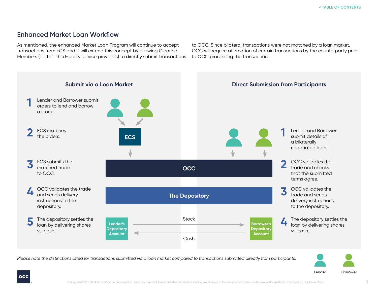# <span id="page-10-0"></span>**Enhanced Market Loan Workflow**

As mentioned, the enhanced Market Loan Program will continue to accept transactions from ECS and it will extend this concept by allowing Clearing Members (or their third-party service providers) to directly submit transactions

to OCC. Since bilateral transactions were not matched by a loan market, OCC will require affirmation of certain transactions by the counterparty prior to OCC processing the transaction.



*Please note the distinctions listed for transactions submitted via a loan market compared to transactions submitted directly from participants.*

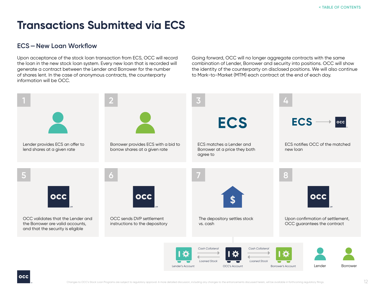# <span id="page-11-0"></span>**Transactions Submitted via ECS**

# **ECS—New Loan Workflow**

Upon acceptance of the stock loan transaction from ECS, OCC will record the loan in the new stock loan system. Every new loan that is recorded will generate a contract between the Lender and Borrower for the number of shares lent. In the case of anonymous contracts, the counterparty information will be OCC.

Going forward, OCC will no longer aggregate contracts with the same combination of Lender, Borrower and security into positions. OCC will show the identity of the counterparty on disclosed positions. We will also continue to Mark-to-Market (MTM) each contract at the end of each day.

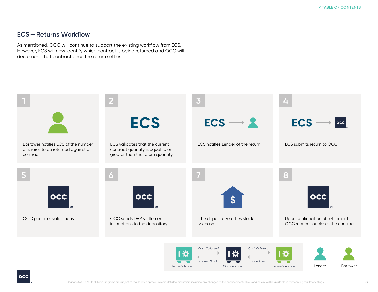## <span id="page-12-0"></span>**ECS—Returns Workflow**

As mentioned, OCC will continue to support the existing workflow from ECS. However, ECS will now identify which contract is being returned and OCC will decrement that contract once the return settles.

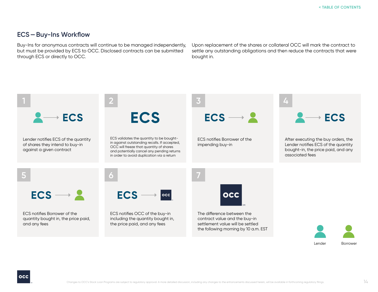## **ECS—Buy-Ins Workflow**

Buy-Ins for anonymous contracts will continue to be managed independently, but must be provided by ECS to OCC. Disclosed contracts can be submitted through ECS or directly to OCC.

Upon replacement of the shares or collateral OCC will mark the contract to settle any outstanding obligations and then reduce the contracts that were bought in.

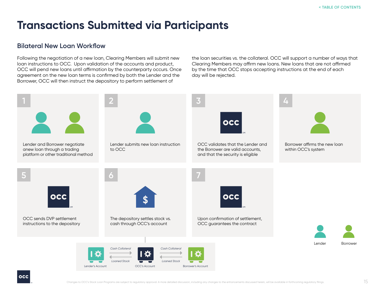# <span id="page-14-0"></span>**Transactions Submitted via Participants**

## **Bilateral New Loan Workflow**

Following the negotiation of a new loan, Clearing Members will submit new loan instructions to OCC. Upon validation of the accounts and product, OCC will pend new loans until affirmation by the counterparty occurs. Once agreement on the new loan terms is confirmed by both the Lender and the Borrower, OCC will then instruct the depository to perform settlement of

the loan securities vs. the collateral. OCC will support a number of ways that Clearing Members may affirm new loans. New loans that are not affirmed by the time that OCC stops accepting instructions at the end of each day will be rejected.

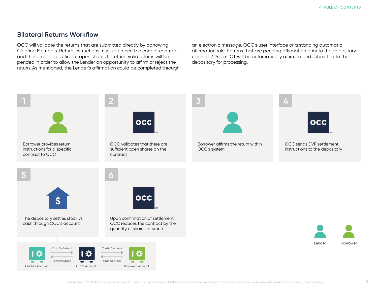### <span id="page-15-0"></span>**Bilateral Returns Workflow**

OCC will validate the returns that are submitted directly by borrowing Clearing Members. Return instructions must reference the correct contract and there must be sufficient open shares to return. Valid returns will be pended in order to allow the Lender an opportunity to affirm or reject the return. As mentioned, the Lender's affirmation could be completed through an electronic message, OCC's user interface or a standing automatic affirmation rule. Returns that are pending affirmation prior to the depository close at 2:15 p.m. CT will be automatically affirmed and submitted to the depository for processing.

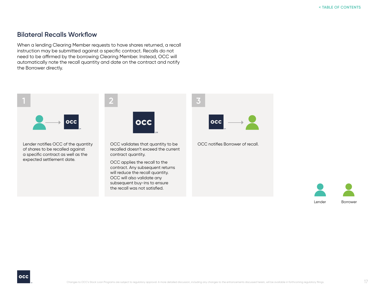### <span id="page-16-0"></span>**Bilateral Recalls Workflow**

When a lending Clearing Member requests to have shares returned, a recall instruction may be submitted against a specific contract. Recalls do not need to be affirmed by the borrowing Clearing Member. Instead, OCC will automatically note the recall quantity and date on the contract and notify the Borrower directly.



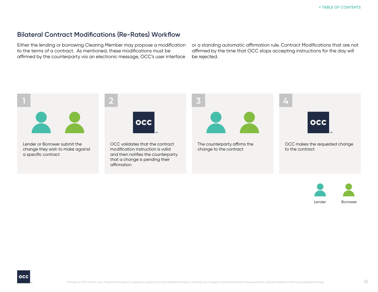## <span id="page-17-0"></span>**Bilateral Contract Modifications (Re-Rates) Workflow**

Either the lending or borrowing Clearing Member may propose a modification to the terms of a contract. As mentioned, these modifications must be affirmed by the counterparty via an electronic message, OCC's user interface

or a standing automatic affirmation rule. Contract Modifications that are not affirmed by the time that OCC stops accepting instructions for the day will be rejected.



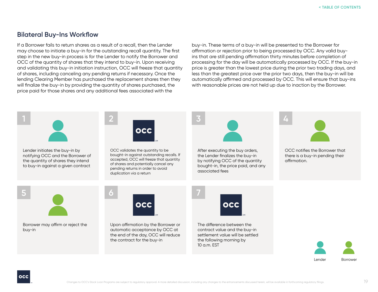## <span id="page-18-0"></span>**Bilateral Buy-Ins Workflow**

If a Borrower fails to return shares as a result of a recall, then the Lender may choose to initiate a buy-in for the outstanding recall quantity. The first step in the new buy-in process is for the Lender to notify the Borrower and OCC of the quantity of shares that they intend to buy-in. Upon receiving and validating this buy-in initiation instruction, OCC will freeze that quantity of shares, including canceling any pending returns if necessary. Once the lending Clearing Member has purchased the replacement shares then they will finalize the buy-in by providing the quantity of shares purchased, the price paid for those shares and any additional fees associated with the

buy-in. These terms of a buy-in will be presented to the Borrower for affirmation or rejection prior to being processed by OCC. Any valid buyins that are still pending affirmation thirty minutes before completion of processing for the day will be automatically processed by OCC. If the buy-in price is greater than the lowest price during the prior two trading days, and less than the greatest price over the prior two days, then the buy-in will be automatically affirmed and processed by OCC. This will ensure that buy-ins with reasonable prices are not held up due to inaction by the Borrower.



Lender Borrower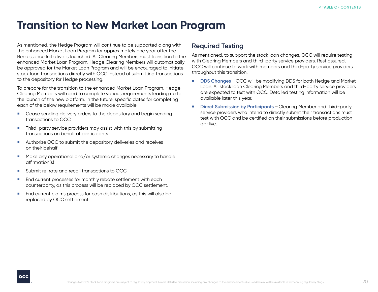# <span id="page-19-0"></span>**Transition to New Market Loan Program**

As mentioned, the Hedge Program will continue to be supported along with the enhanced Market Loan Program for approximately one year after the Renaissance Initiative is launched. All Clearing Members must transition to the enhanced Market Loan Program. Hedge Clearing Members will automatically be approved for the Market Loan Program and will be encouraged to initiate stock loan transactions directly with OCC instead of submitting transactions to the depository for Hedge processing.

To prepare for the transition to the enhanced Market Loan Program, Hedge Clearing Members will need to complete various requirements leading up to the launch of the new platform. In the future, specific dates for completing each of the below requirements will be made available:

- **EXT** Cease sending delivery orders to the depository and begin sending transactions to OCC
- **Third-party service providers may assist with this by submitting** transactions on behalf of participants
- Authorize OCC to submit the depository deliveries and receives on their behalf
- Make any operational and/or systemic changes necessary to handle affirmation(s)
- Submit re-rate and recall transactions to OCC
- **End current processes for monthly rebate settlement with each** counterparty, as this process will be replaced by OCC settlement.
- **End current claims process for cash distributions, as this will also be** replaced by OCC settlement.

## **Required Testing**

As mentioned, to support the stock loan changes, OCC will require testing with Clearing Members and third-party service providers. Rest assured, OCC will continue to work with members and third-party service providers throughout this transition.

- **DDS Changes**—OCC will be modifying DDS for both Hedge and Market Loan. All stock loan Clearing Members and third-party service providers are expected to test with OCC. Detailed testing information will be available later this year.
- **Direct Submission by Participants**—Clearing Member and third-party service providers who intend to directly submit their transactions must test with OCC and be certified on their submissions before production go-live.